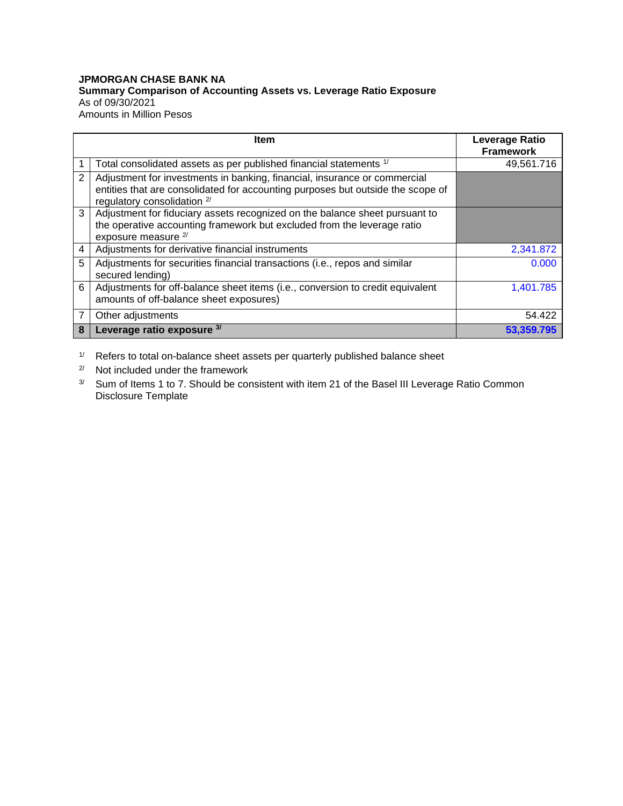## **JPMORGAN CHASE BANK NA Summary Comparison of Accounting Assets vs. Leverage Ratio Exposure** As of 09/30/2021 Amounts in Million Pesos

|   | Item                                                                                                                                                                                        | <b>Leverage Ratio</b><br><b>Framework</b> |
|---|---------------------------------------------------------------------------------------------------------------------------------------------------------------------------------------------|-------------------------------------------|
|   | Total consolidated assets as per published financial statements 1/                                                                                                                          | 49,561.716                                |
| 2 | Adjustment for investments in banking, financial, insurance or commercial<br>entities that are consolidated for accounting purposes but outside the scope of<br>regulatory consolidation 2/ |                                           |
| 3 | Adjustment for fiduciary assets recognized on the balance sheet pursuant to<br>the operative accounting framework but excluded from the leverage ratio<br>exposure measure <sup>2/</sup>    |                                           |
| 4 | Adjustments for derivative financial instruments                                                                                                                                            | 2,341.872                                 |
| 5 | Adjustments for securities financial transactions (i.e., repos and similar<br>secured lending)                                                                                              | 0.000                                     |
| 6 | Adjustments for off-balance sheet items (i.e., conversion to credit equivalent<br>amounts of off-balance sheet exposures)                                                                   | 1,401.785                                 |
| 7 | Other adjustments                                                                                                                                                                           | 54.422                                    |
| 8 | Leverage ratio exposure 3/                                                                                                                                                                  | 53.359.795                                |

1/ Refers to total on-balance sheet assets per quarterly published balance sheet

2/ Not included under the framework

3/ Sum of Items 1 to 7. Should be consistent with item 21 of the Basel III Leverage Ratio Common Disclosure Template